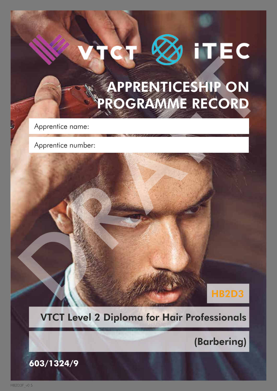# APPRENTICESHIP ON PROGRAMME RECORD APPRENTICESHIP ON

Apprentice name:

Apprentice number:

### HB2D3

### VTCT Level 2 Diploma for Hair Professionals

(Barbering)

**603/1324/9**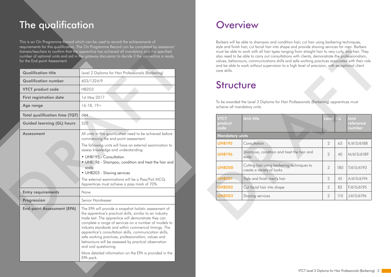This is an On Programme Record which can be used to record the achievements of requirements for this qualification. The On Programme Record can be completed by assessors/ trainers/teachers to confirm that the apprentice has achieved all mandatory and the specified number of optional units and aid in the gateway discussion to decide if the apprentice is ready for the End-point Assessment.

# The qualification

| for the End-point Assessment.         |                                                                                                                                                                                                                                                                                                                                                                                                                                                                                                  |
|---------------------------------------|--------------------------------------------------------------------------------------------------------------------------------------------------------------------------------------------------------------------------------------------------------------------------------------------------------------------------------------------------------------------------------------------------------------------------------------------------------------------------------------------------|
| <b>Qualification title</b>            | Level 2 Diploma for Hair Professionals (Barbering)                                                                                                                                                                                                                                                                                                                                                                                                                                               |
| <b>Qualification number</b>           | 603/1324/9                                                                                                                                                                                                                                                                                                                                                                                                                                                                                       |
| <b>VTCT product code</b>              | HB2D3                                                                                                                                                                                                                                                                                                                                                                                                                                                                                            |
| <b>First registration date</b>        | 1st May 2017                                                                                                                                                                                                                                                                                                                                                                                                                                                                                     |
| <b>Age range</b>                      | $16-18, 19+$                                                                                                                                                                                                                                                                                                                                                                                                                                                                                     |
| <b>Total qualification time (TQT)</b> | 644                                                                                                                                                                                                                                                                                                                                                                                                                                                                                              |
| <b>Guided learning (GL) hours</b>     | 520                                                                                                                                                                                                                                                                                                                                                                                                                                                                                              |
| <b>Assessment</b>                     | All units in this qualification need to be achieved before<br>commencing the end-point assessment.                                                                                                                                                                                                                                                                                                                                                                                               |
|                                       | The following units will have an external examination to<br>assess knowledge and understanding:                                                                                                                                                                                                                                                                                                                                                                                                  |
|                                       | • UHB195 - Consultation<br>• UHB196 - Shampoo, condition and treat the hair and<br>scalp<br>• UHB203 - Shaving services                                                                                                                                                                                                                                                                                                                                                                          |
|                                       | The external examinations will be a Pass/Fail MCQ.<br>Apprentices must achieve a pass mark of 70%.                                                                                                                                                                                                                                                                                                                                                                                               |
| <b>Entry requirements</b>             | None                                                                                                                                                                                                                                                                                                                                                                                                                                                                                             |
| Progression                           | Senior Hairdresser                                                                                                                                                                                                                                                                                                                                                                                                                                                                               |
| <b>End-point Assessment (EPA)</b>     | The EPA will provide a snapshot holistic assessment of<br>the apprentice's practical skills, similar to an industry<br>trade test. The apprentice will demonstrate they can<br>complete a range of services on a number of models to<br>industry standards and within commerical timings. The<br>apprentice's consultation skills, communication skills,<br>safe working practices, professionalism, values and<br>behaviours will be assessed by practical observation<br>and oral questioning. |
|                                       | More detailed information on the EPA is provided in the<br>EPA pack.                                                                                                                                                                                                                                                                                                                                                                                                                             |

### **Overview**

Barbers will be able to shampoo and condition hair, cut hair using barbering techniques, style and finish hair, cut facial hair into shape and provide shaving services for men. Barbers must be able to work with all hair types ranging from straight hair to very curly, wiry hair. They also need to be able to carry out consultations with clients, demonstrate the professionalism, values, behaviours, communications skills and safe working practices associated with their role and be able to work without supervision to a high level of precision, with exceptional client care skills.

# **Structure**

| care skills.                   |                                                                                                                       |                |     |                             |
|--------------------------------|-----------------------------------------------------------------------------------------------------------------------|----------------|-----|-----------------------------|
| <b>Structure</b>               |                                                                                                                       |                |     |                             |
|                                |                                                                                                                       |                |     |                             |
|                                | To be awarded the Level 2 Diploma for Hair Professionals (Barbering) apprentices must<br>acheive all mandatory units. |                |     |                             |
| <b>VTCT</b><br>product<br>code | <b>Unit title</b>                                                                                                     | Level          | GL  | Unit<br>reference<br>number |
| <b>Mandatory units</b>         |                                                                                                                       |                |     |                             |
| <b>UHB195</b>                  | Consultation                                                                                                          | 2              | 63  | K/615/6188                  |
| <b>UHB196</b>                  | Shampoo, condition and treat the hair and<br>scalp                                                                    | $\overline{2}$ | 40  | M/615/6189                  |
| <b>UHB200</b>                  | Cutting hair using barbering techniques to<br>create a variety of looks                                               | $\overline{2}$ | 180 | T/615/6193                  |
| <b>UHB201</b>                  | Style and finish men's hair                                                                                           | 2              | 45  | A/615/6194                  |
| <b>UHB202</b>                  | Cut facial hair into shape                                                                                            | 2              | 82  | F/615/6195                  |
| <b>UHB203</b>                  | Shaving services                                                                                                      | $\overline{2}$ | 110 | J/615/6196                  |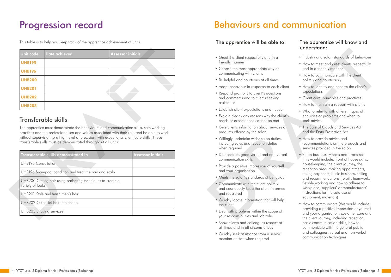# Behaviours and communication

### The apprentice will be able to: The apprentice will know and

- Greet the client respectfully and in a friendly manner
- Choose the most appropriate way of communicating with clients
- Be helpful and courteous at all times
- Adapt behaviour in response to each client
- Respond promptly to client's questions and comments and to clients seeking assistance
- Establish client expectations and needs
- Explain clearly any reasons why the client's needs or expectations cannot be met
- Give clients information about services or products offered by the salon
- Willingly undertake wider salon duties, including sales and reception duties when required
- Demonstrate good verbal and non-verbal communication skills
- Provide a positive impression of yourself and your organisation
- Meets the salon's standards of behaviour
- Communicate with the client politely and courteously keep the client informed and reassured
- Quickly locate information that will help the client
- Deal with problems within the scope of your responsibilities and job role
- Show clients and colleagues respect at all times and in all circumstances
- Quickly seek assistance from a senior member of staff when required
- Industry and salon standards of behaviour
- How to meet and greet clients respectfully and in a friendly manner
- How to communicate with the client politely and courteously
- How to identify and confirm the client's expectations
- Client care, principles and practices
- How to maintain a rapport with clients
- Who to refer to with different types of enquiries or problems and when to seek advice
- The Sale of Goods and Services Act and the Data Protection Act
- How to provide advice and recommendations on the products and services provided in the salon
- Salon business systems and processes (this would include: front of house skills, housekeeping, the client journey, the reception area, making appointments, taking payments, basic business, selling and recommendations (retail), teamwork, flexible working and how to adhere to workplace, suppliers' or manufacturers' instructions for the safe use of equipment, materials) Coco the dient respectible wat in a third yield in a third yield a standards of behaviour lineally manner<br>
Coose the mest appendints way of the broken and in a finantly manner<br>
Choose the mest and the finantly manner<br>
Se h
	- How to communicate (this would include: providing a positive impression of yourself and your organisation, customer care and the client journey, including reception, basic communication skills, how to communicate with the general public and colleagues, verbal and non-verbal communication techniques

# understand:

# Progression record

This table is to help you keep track of the apprentice achievement of units.

| Unit code     | Date achieved | <b>Assessor initials</b> |
|---------------|---------------|--------------------------|
| <b>UHB195</b> |               |                          |
| <b>UHB196</b> |               |                          |
| <b>UHB200</b> |               |                          |
| <b>UHB201</b> |               |                          |
| <b>UHB202</b> |               |                          |
| <b>UHB203</b> |               |                          |

### Transferable skills

| <b>Unit code</b>           | <b>Date achieved</b>                                                                                                 | <b>Assessor initials</b>                                                                                                                                                                                                                                                             |
|----------------------------|----------------------------------------------------------------------------------------------------------------------|--------------------------------------------------------------------------------------------------------------------------------------------------------------------------------------------------------------------------------------------------------------------------------------|
| <b>UHB195</b>              |                                                                                                                      |                                                                                                                                                                                                                                                                                      |
| <b>UHB196</b>              |                                                                                                                      |                                                                                                                                                                                                                                                                                      |
| <b>UHB200</b>              |                                                                                                                      |                                                                                                                                                                                                                                                                                      |
| <b>UHB201</b>              |                                                                                                                      |                                                                                                                                                                                                                                                                                      |
| <b>UHB202</b>              |                                                                                                                      |                                                                                                                                                                                                                                                                                      |
| <b>UHB203</b>              |                                                                                                                      |                                                                                                                                                                                                                                                                                      |
|                            | Transferable skills<br>transferable skills must be demonstrated throughout all units.                                | The apprentice must demonstrate the behaviours and communication skills, safe working<br>practices and the professionalism and values associated with their role and be able to work<br>without supervision to a high level of precision, with exceptional client care skills. These |
|                            |                                                                                                                      |                                                                                                                                                                                                                                                                                      |
| <b>UHB195 Consultation</b> | Transderable skills demonstrated in                                                                                  | <b>Assessor initials</b>                                                                                                                                                                                                                                                             |
|                            |                                                                                                                      |                                                                                                                                                                                                                                                                                      |
| variety of looks           | UHB196 Shampoo, condition and treat the hair and scalp<br>UHB200 Cutting hair using barbering techniques to create a |                                                                                                                                                                                                                                                                                      |
|                            | UHB201 Style and finish men's hair                                                                                   |                                                                                                                                                                                                                                                                                      |
|                            | UHB202 Cut facial hair into shape                                                                                    |                                                                                                                                                                                                                                                                                      |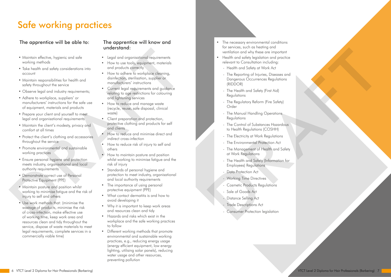6 VTCT Level 2 Diploma for Hair Professionals (Barbering) VTCT Level 2 Diploma for Hair Professionals (Barbering) 7

# Safe working practices

- Legal and organisational requirements
- How to use tools, equipment, materials and products correctly
- How to adhere to workplace cleaning, disinfection, sterilisation, supplier or manufacturers' instructions
- Current legal requirements and guidance relating to age restrictions for colouring and lightening services
- How to reduce and manage waste (recycle, reuse, safe disposal, clinical waste)
- Client preparation and protection, protective clothing and products for self and clients
- How to reduce and minimise direct and indirect cross-infection
- How to reduce risk of injury to self and others
- How to maintain posture and position whilst working to minimise fatigue and the risk of injury
- Standards of personal hygiene and protection to meet industry, organisational and local authority requirements
- The importance of using personal protective equipment (PPE)
- What contact dermatitis is and how to avoid developing it
- Why it is important to keep work areas and resources clean and tidy
- Hazards and risks which exist in the workplace and the safe working practices to follow
- Different working methods that promote environmental and sustainable working practices, e.g., reducing energy usage (energy efficient equipment, low energy lighting, utilising solar panels), reducing water usage and other resources, preventing pollution

### The apprentice will be able to: The apprentice will know and

- Maintain effective, hygienic and safe working methods
- Take health and safety considerations into account
- Maintain responsibilities for health and safety throughout the service
- Observe legal and industry requirements;
- Adhere to workplace, suppliers' or manufacturers' instructions for the safe use of equipment, materials and products
- Prepare your client and yourself to meet legal and organisational requirements
- Maintain the client's modesty, privacy and comfort at all times
- Protect the client's clothing and accessories throughout the service
- Promote environmental and sustainable working practices
- Ensure personal hygiene and protection meets industry, organisational and local authority requirements
- Demonstrate correct use of Personal Protective Equipment (PPE)
- Maintain posture and position whilst working to minimise fatigue and the risk of injury to self and others
- Use work methods that: (minimise the wastage of products, minimise the risk of cross-infection, make effective use of working time, keep work area and resources clean and tidy throughout the service, dispose of waste materials to meet legal requirements, complete services in a commercially viable time) vectors in the control of the control of the control of the control of the control of the control of the control of the control of the control of the control of the control of the control of the control of the control of

# understand:

- The necessary environmental conditions for services, such as heating and ventilation and why these are important
- Health and safety legislation and practice relevant to Consultation including:
	- Health and Safety at Work Act
- The Reporting of Injuries, Diseases and Dangerous Occurrences Regulations (RIDDOR) is viewtoo, sou to simulate the membership of the membership relations and proference relations to the Reporting China Salely of Work Act<br>
- The Reporting China Indianse.<br>
Desperting China Salely of Work Act<br>
- The Reporti
	- The Health and Safety (First Aid) **Regulations**
	- The Regulatory Reform (Fire Safety) Order
	- The Manual Handling Operations **Regulations**
	- The Control of Substances Hazardous to Health Regulations (COSHH)
	- The Electricity at Work Regulations
	- The Environmental Protection Act
	- The Management of Health and Safety at Work Regulations
	- The Health and Safety (Information for Employees) Regulations
	- Data Protection Act
	- Working Time Directives
	- Cosmetic Products Regulations
	- Sale of Goods Act
	- Distance Selling Act
	- **Trade Descriptions Act**
	- Consumer Protection legislation